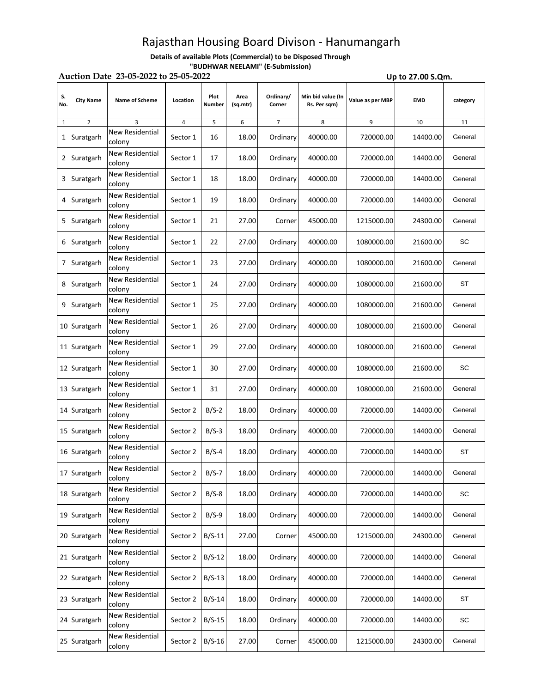## Rajasthan Housing Board Divison - Hanumangarh

**Details of available Plots (Commercial) to be Disposed Through "BUDHWAR NEELAMI" (E-Submission)**

| Auction Date 23-05-2022 to 25-05-2022<br>Up to 27.00 S.Qm. |                  |                                  |          |                |                  |                     |                                   |                  |            |           |
|------------------------------------------------------------|------------------|----------------------------------|----------|----------------|------------------|---------------------|-----------------------------------|------------------|------------|-----------|
| S.<br>No.                                                  | <b>City Name</b> | Name of Scheme                   | Location | Plot<br>Number | Area<br>(sq.mtr) | Ordinary/<br>Corner | Min bid value (In<br>Rs. Per sqm) | Value as per MBP | <b>EMD</b> | category  |
| $\mathbf{1}$                                               | 2                | 3                                | 4        | 5              | 6                | $\overline{7}$      | 8                                 | 9                | 10         | 11        |
| 1                                                          | Suratgarh        | New Residential<br>colony        | Sector 1 | 16             | 18.00            | Ordinary            | 40000.00                          | 720000.00        | 14400.00   | General   |
| 2                                                          | Suratgarh        | New Residential<br>colony        | Sector 1 | 17             | 18.00            | Ordinary            | 40000.00                          | 720000.00        | 14400.00   | General   |
| 3                                                          | Suratgarh        | New Residential<br>colony        | Sector 1 | 18             | 18.00            | Ordinary            | 40000.00                          | 720000.00        | 14400.00   | General   |
| 4                                                          | Suratgarh        | New Residential<br>colony        | Sector 1 | 19             | 18.00            | Ordinary            | 40000.00                          | 720000.00        | 14400.00   | General   |
| 5                                                          | Suratgarh        | <b>New Residential</b><br>colony | Sector 1 | 21             | 27.00            | Corner              | 45000.00                          | 1215000.00       | 24300.00   | General   |
| 6                                                          | Suratgarh        | New Residential<br>colony        | Sector 1 | 22             | 27.00            | Ordinary            | 40000.00                          | 1080000.00       | 21600.00   | SC        |
| 7                                                          | Suratgarh        | New Residential<br>colony        | Sector 1 | 23             | 27.00            | Ordinary            | 40000.00                          | 1080000.00       | 21600.00   | General   |
| 8                                                          | Suratgarh        | New Residential<br>colony        | Sector 1 | 24             | 27.00            | Ordinary            | 40000.00                          | 1080000.00       | 21600.00   | ST        |
| 9                                                          | Suratgarh        | New Residential<br>colony        | Sector 1 | 25             | 27.00            | Ordinary            | 40000.00                          | 1080000.00       | 21600.00   | General   |
|                                                            | 10 Suratgarh     | New Residential<br>colony        | Sector 1 | 26             | 27.00            | Ordinary            | 40000.00                          | 1080000.00       | 21600.00   | General   |
|                                                            | 11 Suratgarh     | New Residential<br>colony        | Sector 1 | 29             | 27.00            | Ordinary            | 40000.00                          | 1080000.00       | 21600.00   | General   |
|                                                            | 12 Suratgarh     | New Residential<br>colony        | Sector 1 | 30             | 27.00            | Ordinary            | 40000.00                          | 1080000.00       | 21600.00   | SC        |
|                                                            | 13 Suratgarh     | New Residential<br>colony        | Sector 1 | 31             | 27.00            | Ordinary            | 40000.00                          | 1080000.00       | 21600.00   | General   |
|                                                            | 14 Suratgarh     | New Residential<br>colony        | Sector 2 | $B/S-2$        | 18.00            | Ordinary            | 40000.00                          | 720000.00        | 14400.00   | General   |
|                                                            | 15 Suratgarh     | New Residential<br>colony        | Sector 2 | $B/S-3$        | 18.00            | Ordinary            | 40000.00                          | 720000.00        | 14400.00   | General   |
|                                                            | 16 Suratgarh     | New Residential<br>colony        | Sector 2 | $B/S-4$        | 18.00            | Ordinary            | 40000.00                          | 720000.00        | 14400.00   | <b>ST</b> |
|                                                            | 17 Suratgarh     | <b>New Residential</b><br>colony | Sector 2 | $B/S-7$        | 18.00            | Ordinary            | 40000.00                          | 720000.00        | 14400.00   | General   |
|                                                            | 18 Suratgarh     | New Residential<br>colony        | Sector 2 | $B/S-8$        | 18.00            | Ordinary            | 40000.00                          | 720000.00        | 14400.00   | SC        |
|                                                            | 19 Suratgarh     | New Residential<br>colony        | Sector 2 | $B/S-9$        | 18.00            | Ordinary            | 40000.00                          | 720000.00        | 14400.00   | General   |
|                                                            | 20 Suratgarh     | New Residential<br>colony        | Sector 2 | $B/S-11$       | 27.00            | Corner              | 45000.00                          | 1215000.00       | 24300.00   | General   |
|                                                            | 21 Suratgarh     | New Residential<br>colony        | Sector 2 | $B/S-12$       | 18.00            | Ordinary            | 40000.00                          | 720000.00        | 14400.00   | General   |
|                                                            | 22 Suratgarh     | New Residential<br>colony        | Sector 2 | $B/S-13$       | 18.00            | Ordinary            | 40000.00                          | 720000.00        | 14400.00   | General   |
|                                                            | 23 Suratgarh     | New Residential<br>colony        | Sector 2 | $B/S-14$       | 18.00            | Ordinary            | 40000.00                          | 720000.00        | 14400.00   | ST        |
|                                                            | 24 Suratgarh     | New Residential<br>colony        | Sector 2 | $B/S-15$       | 18.00            | Ordinary            | 40000.00                          | 720000.00        | 14400.00   | SC        |
|                                                            | 25 Suratgarh     | New Residential<br>colony        | Sector 2 | $B/S-16$       | 27.00            | Corner              | 45000.00                          | 1215000.00       | 24300.00   | General   |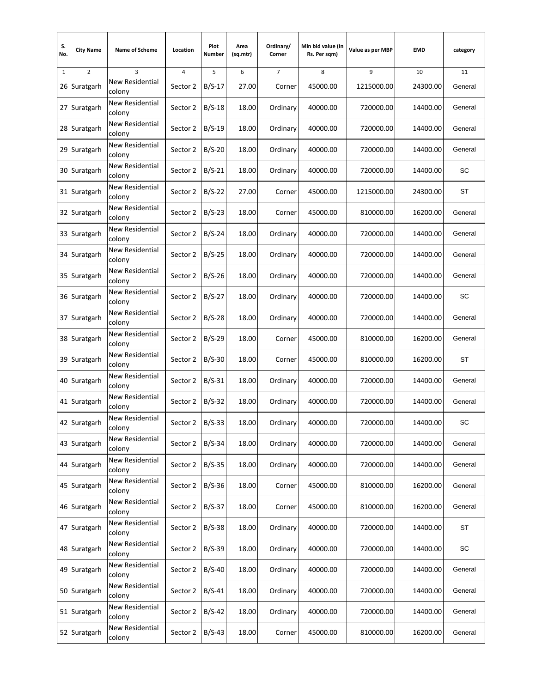| s.<br>No.    | <b>City Name</b> | <b>Name of Scheme</b>            | Location | Plot<br>Number | Area<br>(sq.mtr) | Ordinary/<br>Corner | Min bid value (In<br>Rs. Per sqm) | Value as per MBP | <b>EMD</b> | category                     |
|--------------|------------------|----------------------------------|----------|----------------|------------------|---------------------|-----------------------------------|------------------|------------|------------------------------|
| $\mathbf{1}$ | 2                | 3                                | 4        | 5              | 6                | 7                   | 8                                 | 9                | 10         | 11                           |
| 26           | Suratgarh        | New Residential<br>colony        | Sector 2 | $B/S-17$       | 27.00            | Corner              | 45000.00                          | 1215000.00       | 24300.00   | General                      |
| 27           | Suratgarh        | New Residential<br>colony        | Sector 2 | $B/S-18$       | 18.00            | Ordinary            | 40000.00                          | 720000.00        | 14400.00   | General                      |
|              | 28 Suratgarh     | New Residential<br>colony        | Sector 2 | $B/S-19$       | 18.00            | Ordinary            | 40000.00                          | 720000.00        | 14400.00   | General                      |
|              | 29 Suratgarh     | New Residential<br>colony        | Sector 2 | $B/S-20$       | 18.00            | Ordinary            | 40000.00                          | 720000.00        | 14400.00   | General                      |
|              | 30 Suratgarh     | New Residential<br>colony        | Sector 2 | $B/S-21$       | 18.00            | Ordinary            | 40000.00                          | 720000.00        | 14400.00   | SC                           |
|              | 31 Suratgarh     | New Residential<br>colony        | Sector 2 | $B/S-22$       | 27.00            | Corner              | 45000.00                          | 1215000.00       | 24300.00   | ST                           |
|              | 32 Suratgarh     | New Residential<br>colony        | Sector 2 | $B/S-23$       | 18.00            | Corner              | 45000.00                          | 810000.00        | 16200.00   | General                      |
|              | 33 Suratgarh     | <b>New Residential</b><br>colony | Sector 2 | $B/S-24$       | 18.00            | Ordinary            | 40000.00                          | 720000.00        | 14400.00   | General                      |
|              | 34 Suratgarh     | New Residential<br>colony        | Sector 2 | $B/S-25$       | 18.00            | Ordinary            | 40000.00                          | 720000.00        | 14400.00   | General                      |
|              | 35 Suratgarh     | <b>New Residential</b><br>colony | Sector 2 | $B/S-26$       | 18.00            | Ordinary            | 40000.00                          | 720000.00        | 14400.00   | General                      |
|              | 36 Suratgarh     | New Residential<br>colony        | Sector 2 | $B/S-27$       | 18.00            | Ordinary            | 40000.00                          | 720000.00        | 14400.00   | SC                           |
|              | 37 Suratgarh     | New Residential<br>colony        | Sector 2 | $B/S-28$       | 18.00            | Ordinary            | 40000.00                          | 720000.00        | 14400.00   | General                      |
|              | 38 Suratgarh     | New Residential<br>colony        | Sector 2 | $B/S-29$       | 18.00            | Corner              | 45000.00                          | 810000.00        | 16200.00   | General                      |
|              | 39 Suratgarh     | New Residential<br>colony        | Sector 2 | $B/S-30$       | 18.00            | Corner              | 45000.00                          | 810000.00        | 16200.00   | ST                           |
|              | 40 Suratgarh     | New Residential<br>colony        | Sector 2 | $B/S-31$       | 18.00            | Ordinary            | 40000.00                          | 720000.00        | 14400.00   | General                      |
|              | 41 Suratgarh     | <b>New Residential</b><br>colony | Sector 2 | $B/S-32$       | 18.00            | Ordinary            | 40000.00                          | 720000.00        | 14400.00   | General                      |
|              | 42 Suratgarh     | New Residential<br>colony        | Sector 2 | $B/S-33$       | 18.00            | Ordinary            | 40000.00                          | 720000.00        | 14400.00   | SC                           |
|              | 43 Suratgarh     | <b>New Residential</b><br>colony | Sector 2 | $B/S-34$       | 18.00            | Ordinary            | 40000.00                          | 720000.00        | 14400.00   | General                      |
|              | 44 Suratgarh     | <b>New Residential</b><br>colony | Sector 2 | $B/S-35$       | 18.00            | Ordinary            | 40000.00                          | 720000.00        | 14400.00   | General                      |
|              | 45 Suratgarh     | <b>New Residential</b><br>colony | Sector 2 | $B/S-36$       | 18.00            | Corner              | 45000.00                          | 810000.00        | 16200.00   | General                      |
|              | 46 Suratgarh     | <b>New Residential</b><br>colony | Sector 2 | $B/S-37$       | 18.00            | Corner              | 45000.00                          | 810000.00        | 16200.00   | General                      |
|              | 47 Suratgarh     | New Residential<br>colony        | Sector 2 | $B/S-38$       | 18.00            | Ordinary            | 40000.00                          | 720000.00        | 14400.00   | <b>ST</b>                    |
|              | 48 Suratgarh     | New Residential<br>colony        | Sector 2 | $B/S-39$       | 18.00            | Ordinary            | 40000.00                          | 720000.00        | 14400.00   | $\operatorname{\textsf{SC}}$ |
|              | 49 Suratgarh     | New Residential<br>colony        | Sector 2 | $B/S-40$       | 18.00            | Ordinary            | 40000.00                          | 720000.00        | 14400.00   | General                      |
|              | 50 Suratgarh     | New Residential<br>colony        | Sector 2 | $B/S-41$       | 18.00            | Ordinary            | 40000.00                          | 720000.00        | 14400.00   | General                      |
|              | 51 Suratgarh     | New Residential<br>colony        | Sector 2 | $B/S-42$       | 18.00            | Ordinary            | 40000.00                          | 720000.00        | 14400.00   | General                      |
|              | 52 Suratgarh     | New Residential<br>colony        | Sector 2 | $B/S-43$       | 18.00            | Corner              | 45000.00                          | 810000.00        | 16200.00   | General                      |